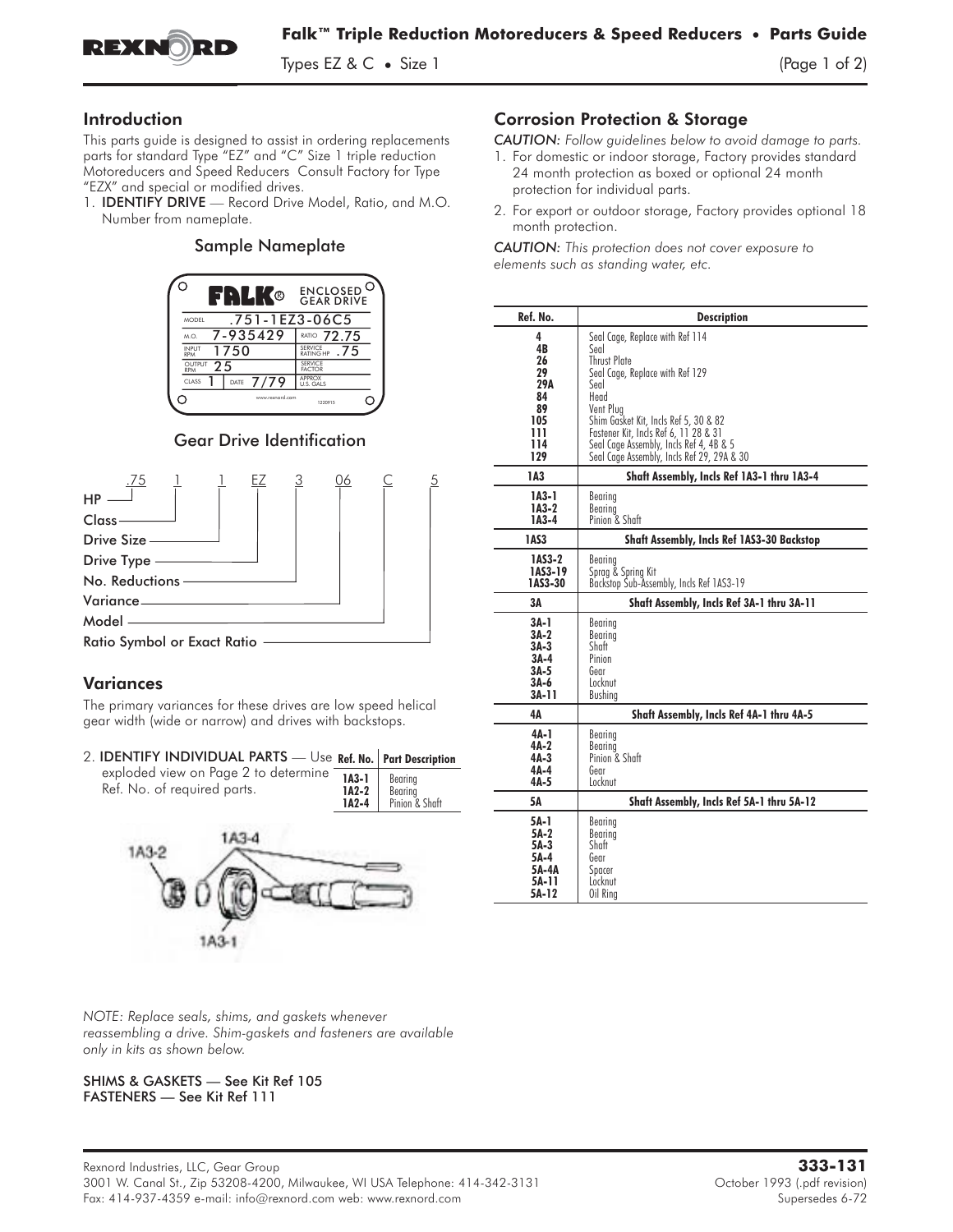

Types EZ & C  $\bullet$  Size 1  $\qquad \qquad$  (Page 1 of 2)

# Introduction

This parts guide is designed to assist in ordering replacements parts for standard Type "EZ" and "C" Size 1 triple reduction Motoreducers and Speed Reducers Consult Factory for Type This parts guide is designed to assist in ordering replacements<br>parts for standard Type "EZ" and "C" Size 1 triple reduction<br>Motoreducers and Speed Reducers Consult Factory for Type<br>"EZX" and special or modified drives.<br>1.

"EZX" and special or modified drives.<br>1. **IDENTIFY DRIVE** — Record Drive Model, Ratio, and M.O. Number from nameplate.

### Sample Nameplate



# Gear Drive Identification



# **Variances**

The primary variances for these drives are low speed helical gear width (wide or narrow) and drives with backstops.

## 2. IDENTIFY INDIVIDUAL PARTS — Use Ref. No. Part Description

| exploded view on Page 2 to determine <b>1A3-1</b> Bearing<br>Ref. No. of required parts. | <b>1A2-2</b> Bearing<br><b>1A2-4</b> Pinion & Shaft |
|------------------------------------------------------------------------------------------|-----------------------------------------------------|



*NOTE: Replace seals, shims, and gaskets whenever reassembling a drive. Shim-gaskets and fasteners are available only in kits as shown below.*

#### SHIMS & GASKETS — See Kit Ref 105 FASTENERS — See Kit Ref 111

# Corrosion Protection & Storage

*CAUTION: Follow guidelines below to avoid damage to parts.*

- 1. For domestic or indoor storage, Factory provides standard 24 month protection as boxed or optional 24 month protection for individual parts.
- 2. For export or outdoor storage, Factory provides optional 18 month protection.

*CAUTION: This protection does not cover exposure to elements such as standing water, etc.*

| Ref. No. | <b>Description</b>                                |  |
|----------|---------------------------------------------------|--|
| 4        | Seal Cage, Replace with Ref 114                   |  |
| 4B       | Seal                                              |  |
| 26       | <b>Thrust Plate</b>                               |  |
| 29       | Seal Cage, Replace with Ref 129                   |  |
| 29A      | Seal                                              |  |
| 84       | Head                                              |  |
| 89       | Vent Plug                                         |  |
| 105      | Shim Gasket Kit, Incls Ref 5, 30 & 82             |  |
| 111      | Fastener Kit, Incls Ref 6, 11 28 & 31             |  |
| 114      | Seal Cage Assembly, Incls Ref 4, 4B & 5           |  |
| 129      | Seal Cage Assembly, Incls Ref 29, 29A & 30        |  |
| 1A3      | Shaft Assembly, Incls Ref 1A3-1 thru 1A3-4        |  |
| 1A3-1    | Bearing                                           |  |
| 1A3-2    | Bearing                                           |  |
| 1A3-4    | Pinion & Shaft                                    |  |
| 1AS3     | <b>Shaft Assembly, Incls Ref 1AS3-30 Backstop</b> |  |
| 1AS3-2   | Bearing                                           |  |
| 1AS3-19  | Sprag & Spring Kit                                |  |
| 1AS3-30  | Backstop Sub-Assembly, Incls Ref 1AS3-19          |  |
| ЗΑ       | Shaft Assembly, Incls Ref 3A-1 thru 3A-11         |  |
| 3A-1     | Bearing                                           |  |
| 3A-2     | Bearing                                           |  |
| $3A-3$   | Shaft                                             |  |
| $3A-4$   | Pinion                                            |  |
| 3A-5     | Gear                                              |  |
| 3A-6     | Locknut                                           |  |
| 3A-11    | Bushing                                           |  |
| 4А       | Shaft Assembly, Incls Ref 4A-1 thru 4A-5          |  |
| 4A-1     | Bearing                                           |  |
| 4A-2     | Bearing                                           |  |
| 4A-3     | Pinion & Shaft                                    |  |
| 4A-4     | Gear                                              |  |
| 4A-5     | Locknut                                           |  |
| 5Α       | Shaft Assembly, Incls Ref 5A-1 thru 5A-12         |  |
| 5A-1     | Bearing                                           |  |
| 5A-2     | Bearing                                           |  |
| 5A-3     | Shaft                                             |  |
| 5A-4     | Gear                                              |  |
| 5A-4A    | Spacer                                            |  |
| 5A-11    | Locknut                                           |  |
| 5A-12    | Oil Rina                                          |  |